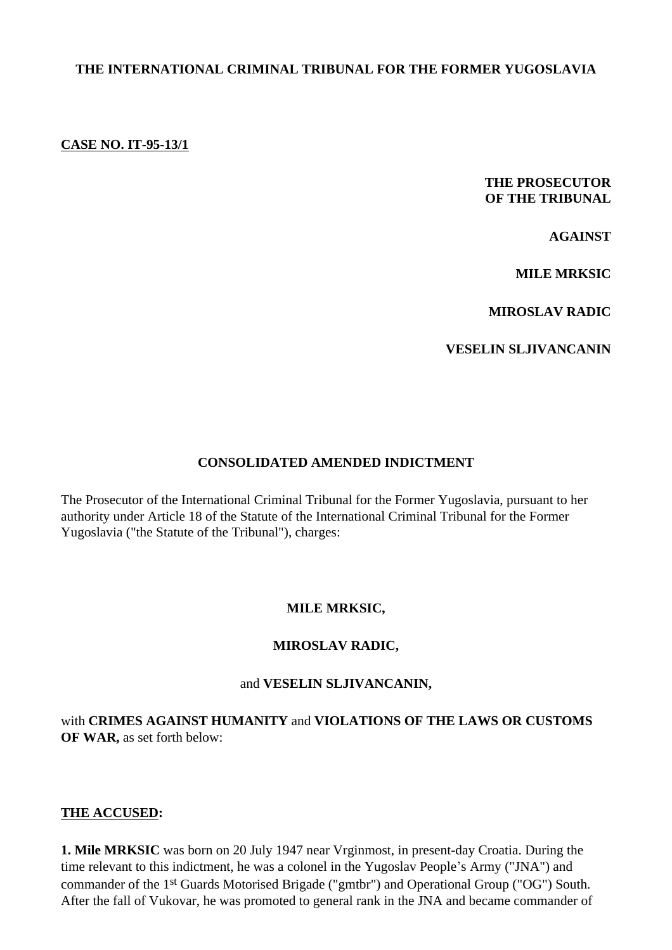### **THE INTERNATIONAL CRIMINAL TRIBUNAL FOR THE FORMER YUGOSLAVIA**

#### **CASE NO. IT-95-13/1**

### **THE PROSECUTOR OF THE TRIBUNAL**

**AGAINST**

**MILE MRKSIC** 

**MIROSLAV RADIC**

**VESELIN SLJIVANCANIN**

#### **CONSOLIDATED AMENDED INDICTMENT**

The Prosecutor of the International Criminal Tribunal for the Former Yugoslavia, pursuant to her authority under Article 18 of the Statute of the International Criminal Tribunal for the Former Yugoslavia ("the Statute of the Tribunal"), charges:

#### **MILE MRKSIC,**

#### **MIROSLAV RADIC,**

#### and **VESELIN SLJIVANCANIN,**

with **CRIMES AGAINST HUMANITY** and **VIOLATIONS OF THE LAWS OR CUSTOMS OF WAR,** as set forth below:

#### **THE ACCUSED:**

**1. Mile MRKSIC** was born on 20 July 1947 near Vrginmost, in present-day Croatia. During the time relevant to this indictment, he was a colonel in the Yugoslav People's Army ("JNA") and commander of the 1st Guards Motorised Brigade ("gmtbr") and Operational Group ("OG") South. After the fall of Vukovar, he was promoted to general rank in the JNA and became commander of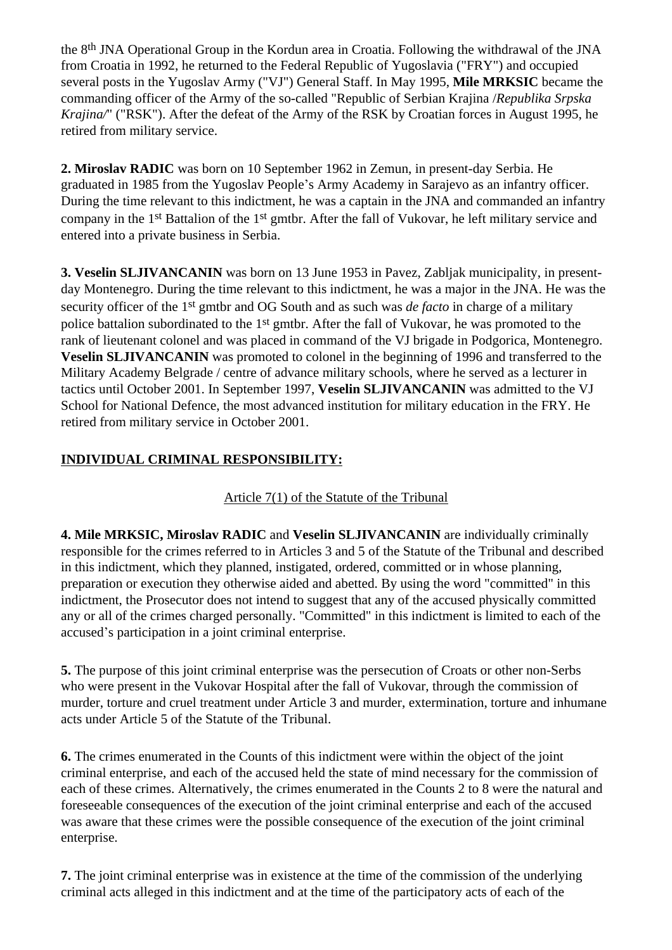the 8th JNA Operational Group in the Kordun area in Croatia. Following the withdrawal of the JNA from Croatia in 1992, he returned to the Federal Republic of Yugoslavia ("FRY") and occupied several posts in the Yugoslav Army ("VJ") General Staff. In May 1995, **Mile MRKSIC** became the commanding officer of the Army of the so-called "Republic of Serbian Krajina /*Republika Srpska Krajina/*" ("RSK"). After the defeat of the Army of the RSK by Croatian forces in August 1995, he retired from military service.

**2. Miroslav RADIC** was born on 10 September 1962 in Zemun, in present-day Serbia. He graduated in 1985 from the Yugoslav People's Army Academy in Sarajevo as an infantry officer. During the time relevant to this indictment, he was a captain in the JNA and commanded an infantry company in the 1st Battalion of the 1st gmtbr. After the fall of Vukovar, he left military service and entered into a private business in Serbia.

**3. Veselin SLJIVANCANIN** was born on 13 June 1953 in Pavez, Zabljak municipality, in presentday Montenegro. During the time relevant to this indictment, he was a major in the JNA. He was the security officer of the 1st gmtbr and OG South and as such was *de facto* in charge of a military police battalion subordinated to the 1st gmtbr. After the fall of Vukovar, he was promoted to the rank of lieutenant colonel and was placed in command of the VJ brigade in Podgorica, Montenegro. **Veselin SLJIVANCANIN** was promoted to colonel in the beginning of 1996 and transferred to the Military Academy Belgrade / centre of advance military schools, where he served as a lecturer in tactics until October 2001. In September 1997, **Veselin SLJIVANCANIN** was admitted to the VJ School for National Defence, the most advanced institution for military education in the FRY. He retired from military service in October 2001.

# **INDIVIDUAL CRIMINAL RESPONSIBILITY:**

## Article 7(1) of the Statute of the Tribunal

**4. Mile MRKSIC, Miroslav RADIC** and **Veselin SLJIVANCANIN** are individually criminally responsible for the crimes referred to in Articles 3 and 5 of the Statute of the Tribunal and described in this indictment, which they planned, instigated, ordered, committed or in whose planning, preparation or execution they otherwise aided and abetted. By using the word "committed" in this indictment, the Prosecutor does not intend to suggest that any of the accused physically committed any or all of the crimes charged personally. "Committed" in this indictment is limited to each of the accused's participation in a joint criminal enterprise.

**5.** The purpose of this joint criminal enterprise was the persecution of Croats or other non-Serbs who were present in the Vukovar Hospital after the fall of Vukovar, through the commission of murder, torture and cruel treatment under Article 3 and murder, extermination, torture and inhumane acts under Article 5 of the Statute of the Tribunal.

**6.** The crimes enumerated in the Counts of this indictment were within the object of the joint criminal enterprise, and each of the accused held the state of mind necessary for the commission of each of these crimes. Alternatively, the crimes enumerated in the Counts 2 to 8 were the natural and foreseeable consequences of the execution of the joint criminal enterprise and each of the accused was aware that these crimes were the possible consequence of the execution of the joint criminal enterprise.

**7.** The joint criminal enterprise was in existence at the time of the commission of the underlying criminal acts alleged in this indictment and at the time of the participatory acts of each of the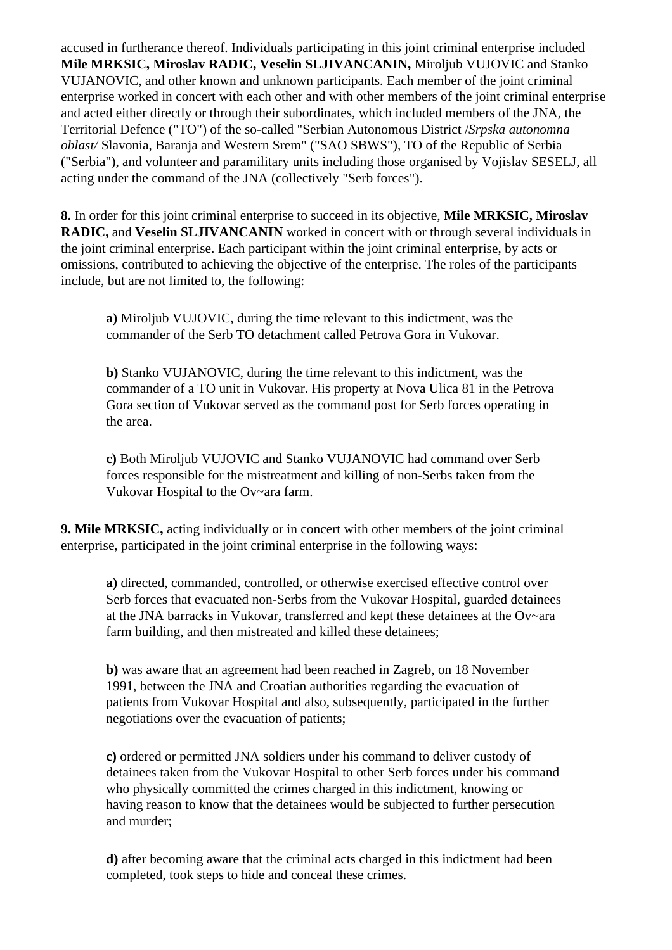accused in furtherance thereof. Individuals participating in this joint criminal enterprise included **Mile MRKSIC, Miroslav RADIC, Veselin SLJIVANCANIN,** Miroljub VUJOVIC and Stanko VUJANOVIC, and other known and unknown participants. Each member of the joint criminal enterprise worked in concert with each other and with other members of the joint criminal enterprise and acted either directly or through their subordinates, which included members of the JNA, the Territorial Defence ("TO") of the so-called "Serbian Autonomous District /*Srpska autonomna oblast/* Slavonia, Baranja and Western Srem" ("SAO SBWS"), TO of the Republic of Serbia ("Serbia"), and volunteer and paramilitary units including those organised by Vojislav SESELJ, all acting under the command of the JNA (collectively "Serb forces").

**8.** In order for this joint criminal enterprise to succeed in its objective, **Mile MRKSIC, Miroslav RADIC,** and **Veselin SLJIVANCANIN** worked in concert with or through several individuals in the joint criminal enterprise. Each participant within the joint criminal enterprise, by acts or omissions, contributed to achieving the objective of the enterprise. The roles of the participants include, but are not limited to, the following:

**a)** Miroljub VUJOVIC, during the time relevant to this indictment, was the commander of the Serb TO detachment called Petrova Gora in Vukovar.

**b)** Stanko VUJANOVIC, during the time relevant to this indictment, was the commander of a TO unit in Vukovar. His property at Nova Ulica 81 in the Petrova Gora section of Vukovar served as the command post for Serb forces operating in the area.

**c)** Both Miroljub VUJOVIC and Stanko VUJANOVIC had command over Serb forces responsible for the mistreatment and killing of non-Serbs taken from the Vukovar Hospital to the Ov~ara farm.

**9. Mile MRKSIC,** acting individually or in concert with other members of the joint criminal enterprise, participated in the joint criminal enterprise in the following ways:

**a)** directed, commanded, controlled, or otherwise exercised effective control over Serb forces that evacuated non-Serbs from the Vukovar Hospital, guarded detainees at the JNA barracks in Vukovar, transferred and kept these detainees at the Ov~ara farm building, and then mistreated and killed these detainees;

**b)** was aware that an agreement had been reached in Zagreb, on 18 November 1991, between the JNA and Croatian authorities regarding the evacuation of patients from Vukovar Hospital and also, subsequently, participated in the further negotiations over the evacuation of patients;

**c)** ordered or permitted JNA soldiers under his command to deliver custody of detainees taken from the Vukovar Hospital to other Serb forces under his command who physically committed the crimes charged in this indictment, knowing or having reason to know that the detainees would be subjected to further persecution and murder;

**d)** after becoming aware that the criminal acts charged in this indictment had been completed, took steps to hide and conceal these crimes.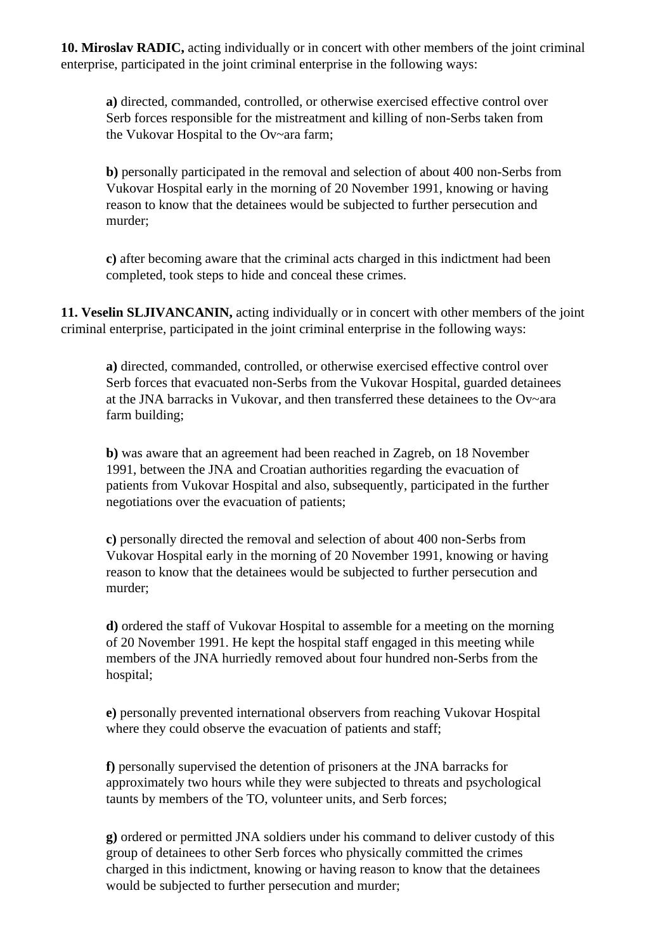**10. Miroslav RADIC,** acting individually or in concert with other members of the joint criminal enterprise, participated in the joint criminal enterprise in the following ways:

**a)** directed, commanded, controlled, or otherwise exercised effective control over Serb forces responsible for the mistreatment and killing of non-Serbs taken from the Vukovar Hospital to the Ov~ara farm;

**b)** personally participated in the removal and selection of about 400 non-Serbs from Vukovar Hospital early in the morning of 20 November 1991, knowing or having reason to know that the detainees would be subjected to further persecution and murder;

**c)** after becoming aware that the criminal acts charged in this indictment had been completed, took steps to hide and conceal these crimes.

**11. Veselin SLJIVANCANIN,** acting individually or in concert with other members of the joint criminal enterprise, participated in the joint criminal enterprise in the following ways:

**a)** directed, commanded, controlled, or otherwise exercised effective control over Serb forces that evacuated non-Serbs from the Vukovar Hospital, guarded detainees at the JNA barracks in Vukovar, and then transferred these detainees to the Ov~ara farm building;

**b)** was aware that an agreement had been reached in Zagreb, on 18 November 1991, between the JNA and Croatian authorities regarding the evacuation of patients from Vukovar Hospital and also, subsequently, participated in the further negotiations over the evacuation of patients;

**c)** personally directed the removal and selection of about 400 non-Serbs from Vukovar Hospital early in the morning of 20 November 1991, knowing or having reason to know that the detainees would be subjected to further persecution and murder;

**d)** ordered the staff of Vukovar Hospital to assemble for a meeting on the morning of 20 November 1991. He kept the hospital staff engaged in this meeting while members of the JNA hurriedly removed about four hundred non-Serbs from the hospital;

**e)** personally prevented international observers from reaching Vukovar Hospital where they could observe the evacuation of patients and staff;

**f)** personally supervised the detention of prisoners at the JNA barracks for approximately two hours while they were subjected to threats and psychological taunts by members of the TO, volunteer units, and Serb forces;

**g)** ordered or permitted JNA soldiers under his command to deliver custody of this group of detainees to other Serb forces who physically committed the crimes charged in this indictment, knowing or having reason to know that the detainees would be subjected to further persecution and murder;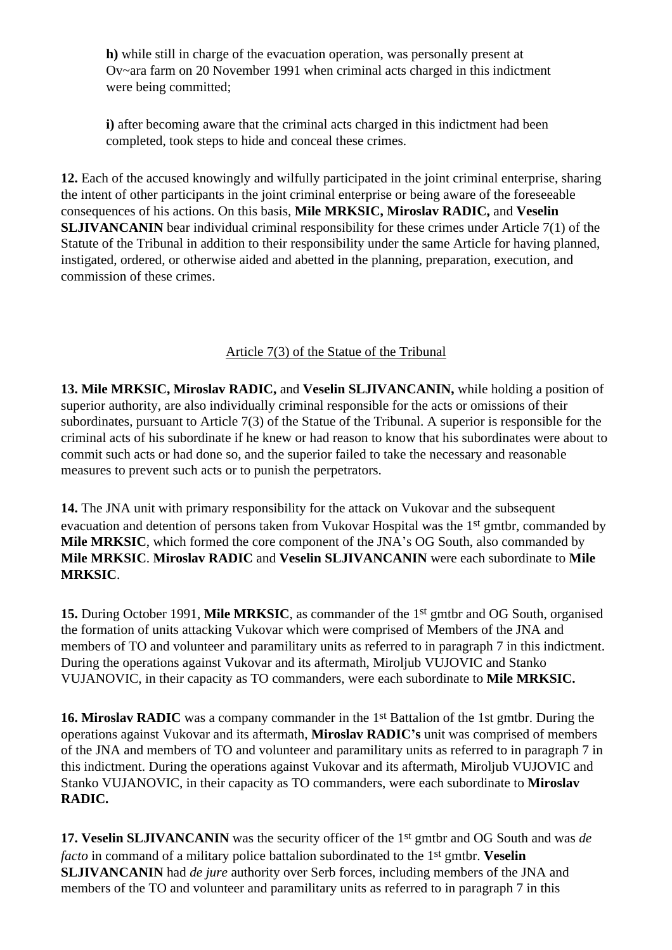**h)** while still in charge of the evacuation operation, was personally present at Ov~ara farm on 20 November 1991 when criminal acts charged in this indictment were being committed;

**i**) after becoming aware that the criminal acts charged in this indictment had been completed, took steps to hide and conceal these crimes.

**12.** Each of the accused knowingly and wilfully participated in the joint criminal enterprise, sharing the intent of other participants in the joint criminal enterprise or being aware of the foreseeable consequences of his actions. On this basis, **Mile MRKSIC, Miroslav RADIC,** and **Veselin SLJIVANCANIN** bear individual criminal responsibility for these crimes under Article 7(1) of the Statute of the Tribunal in addition to their responsibility under the same Article for having planned, instigated, ordered, or otherwise aided and abetted in the planning, preparation, execution, and commission of these crimes.

## Article 7(3) of the Statue of the Tribunal

**13. Mile MRKSIC, Miroslav RADIC,** and **Veselin SLJIVANCANIN,** while holding a position of superior authority, are also individually criminal responsible for the acts or omissions of their subordinates, pursuant to Article 7(3) of the Statue of the Tribunal. A superior is responsible for the criminal acts of his subordinate if he knew or had reason to know that his subordinates were about to commit such acts or had done so, and the superior failed to take the necessary and reasonable measures to prevent such acts or to punish the perpetrators.

**14.** The JNA unit with primary responsibility for the attack on Vukovar and the subsequent evacuation and detention of persons taken from Vukovar Hospital was the 1st gmtbr, commanded by **Mile MRKSIC**, which formed the core component of the JNA's OG South, also commanded by **Mile MRKSIC**. **Miroslav RADIC** and **Veselin SLJIVANCANIN** were each subordinate to **Mile MRKSIC**.

**15.** During October 1991, **Mile MRKSIC**, as commander of the 1st gmtbr and OG South, organised the formation of units attacking Vukovar which were comprised of Members of the JNA and members of TO and volunteer and paramilitary units as referred to in paragraph 7 in this indictment. During the operations against Vukovar and its aftermath, Miroljub VUJOVIC and Stanko VUJANOVIC, in their capacity as TO commanders, were each subordinate to **Mile MRKSIC.**

**16. Miroslav RADIC** was a company commander in the 1<sup>st</sup> Battalion of the 1st gmtbr. During the operations against Vukovar and its aftermath, **Miroslav RADIC's** unit was comprised of members of the JNA and members of TO and volunteer and paramilitary units as referred to in paragraph 7 in this indictment. During the operations against Vukovar and its aftermath, Miroljub VUJOVIC and Stanko VUJANOVIC, in their capacity as TO commanders, were each subordinate to **Miroslav RADIC.**

**17. Veselin SLJIVANCANIN** was the security officer of the 1st gmtbr and OG South and was *de facto* in command of a military police battalion subordinated to the 1st gmtbr. **Veselin SLJIVANCANIN** had *de jure* authority over Serb forces, including members of the JNA and members of the TO and volunteer and paramilitary units as referred to in paragraph 7 in this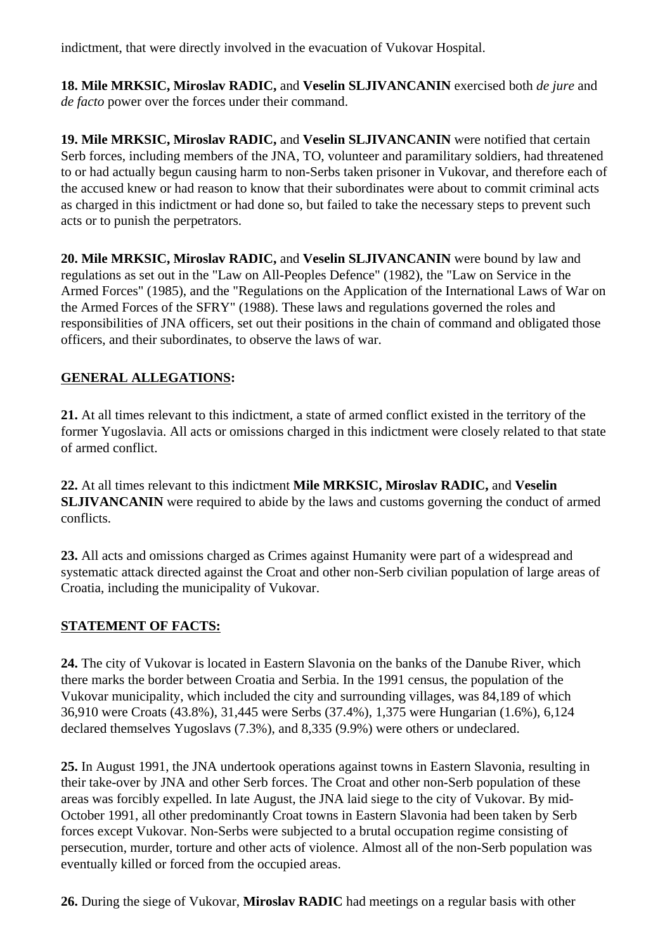indictment, that were directly involved in the evacuation of Vukovar Hospital.

**18. Mile MRKSIC, Miroslav RADIC,** and **Veselin SLJIVANCANIN** exercised both *de jure* and *de facto* power over the forces under their command.

**19. Mile MRKSIC, Miroslav RADIC,** and **Veselin SLJIVANCANIN** were notified that certain Serb forces, including members of the JNA, TO, volunteer and paramilitary soldiers, had threatened to or had actually begun causing harm to non-Serbs taken prisoner in Vukovar, and therefore each of the accused knew or had reason to know that their subordinates were about to commit criminal acts as charged in this indictment or had done so, but failed to take the necessary steps to prevent such acts or to punish the perpetrators.

**20. Mile MRKSIC, Miroslav RADIC,** and **Veselin SLJIVANCANIN** were bound by law and regulations as set out in the "Law on All-Peoples Defence" (1982), the "Law on Service in the Armed Forces" (1985), and the "Regulations on the Application of the International Laws of War on the Armed Forces of the SFRY" (1988). These laws and regulations governed the roles and responsibilities of JNA officers, set out their positions in the chain of command and obligated those officers, and their subordinates, to observe the laws of war.

## **GENERAL ALLEGATIONS:**

**21.** At all times relevant to this indictment, a state of armed conflict existed in the territory of the former Yugoslavia. All acts or omissions charged in this indictment were closely related to that state of armed conflict.

**22.** At all times relevant to this indictment **Mile MRKSIC, Miroslav RADIC,** and **Veselin SLJIVANCANIN** were required to abide by the laws and customs governing the conduct of armed conflicts.

**23.** All acts and omissions charged as Crimes against Humanity were part of a widespread and systematic attack directed against the Croat and other non-Serb civilian population of large areas of Croatia, including the municipality of Vukovar.

## **STATEMENT OF FACTS:**

**24.** The city of Vukovar is located in Eastern Slavonia on the banks of the Danube River, which there marks the border between Croatia and Serbia. In the 1991 census, the population of the Vukovar municipality, which included the city and surrounding villages, was 84,189 of which 36,910 were Croats (43.8%), 31,445 were Serbs (37.4%), 1,375 were Hungarian (1.6%), 6,124 declared themselves Yugoslavs (7.3%), and 8,335 (9.9%) were others or undeclared.

**25.** In August 1991, the JNA undertook operations against towns in Eastern Slavonia, resulting in their take-over by JNA and other Serb forces. The Croat and other non-Serb population of these areas was forcibly expelled. In late August, the JNA laid siege to the city of Vukovar. By mid-October 1991, all other predominantly Croat towns in Eastern Slavonia had been taken by Serb forces except Vukovar. Non-Serbs were subjected to a brutal occupation regime consisting of persecution, murder, torture and other acts of violence. Almost all of the non-Serb population was eventually killed or forced from the occupied areas.

**26.** During the siege of Vukovar, **Miroslav RADIC** had meetings on a regular basis with other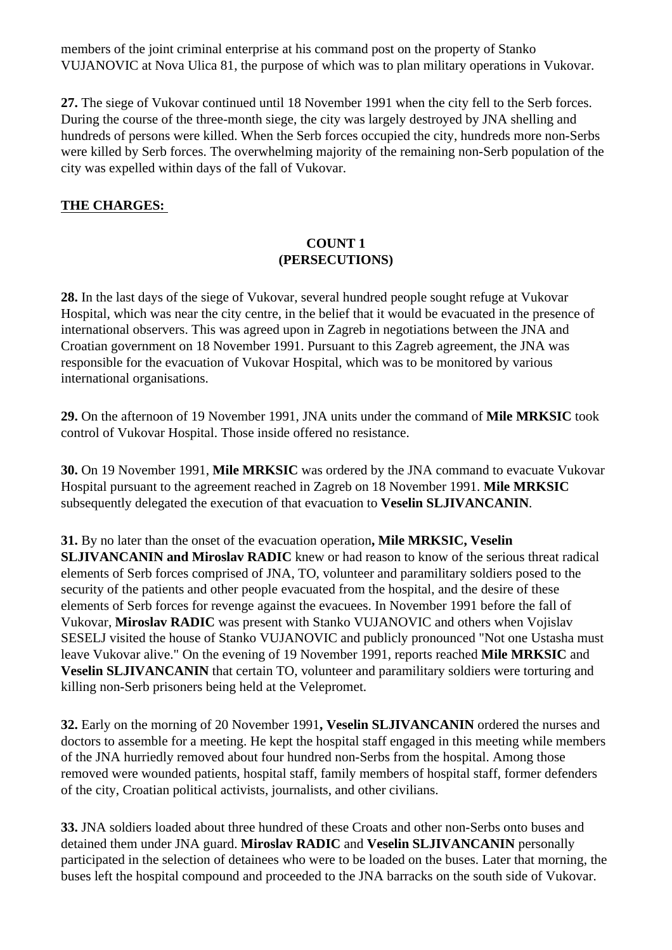members of the joint criminal enterprise at his command post on the property of Stanko VUJANOVIC at Nova Ulica 81, the purpose of which was to plan military operations in Vukovar.

**27.** The siege of Vukovar continued until 18 November 1991 when the city fell to the Serb forces. During the course of the three-month siege, the city was largely destroyed by JNA shelling and hundreds of persons were killed. When the Serb forces occupied the city, hundreds more non-Serbs were killed by Serb forces. The overwhelming majority of the remaining non-Serb population of the city was expelled within days of the fall of Vukovar.

### **THE CHARGES:**

### **COUNT 1 (PERSECUTIONS)**

**28.** In the last days of the siege of Vukovar, several hundred people sought refuge at Vukovar Hospital, which was near the city centre, in the belief that it would be evacuated in the presence of international observers. This was agreed upon in Zagreb in negotiations between the JNA and Croatian government on 18 November 1991. Pursuant to this Zagreb agreement, the JNA was responsible for the evacuation of Vukovar Hospital, which was to be monitored by various international organisations.

**29.** On the afternoon of 19 November 1991, JNA units under the command of **Mile MRKSIC** took control of Vukovar Hospital. Those inside offered no resistance.

**30.** On 19 November 1991, **Mile MRKSIC** was ordered by the JNA command to evacuate Vukovar Hospital pursuant to the agreement reached in Zagreb on 18 November 1991. **Mile MRKSIC** subsequently delegated the execution of that evacuation to **Veselin SLJIVANCANIN**.

**31.** By no later than the onset of the evacuation operation**, Mile MRKSIC, Veselin SLJIVANCANIN and Miroslav RADIC** knew or had reason to know of the serious threat radical elements of Serb forces comprised of JNA, TO, volunteer and paramilitary soldiers posed to the security of the patients and other people evacuated from the hospital, and the desire of these elements of Serb forces for revenge against the evacuees. In November 1991 before the fall of Vukovar, **Miroslav RADIC** was present with Stanko VUJANOVIC and others when Vojislav SESELJ visited the house of Stanko VUJANOVIC and publicly pronounced "Not one Ustasha must leave Vukovar alive." On the evening of 19 November 1991, reports reached **Mile MRKSIC** and **Veselin SLJIVANCANIN** that certain TO, volunteer and paramilitary soldiers were torturing and killing non-Serb prisoners being held at the Velepromet.

**32.** Early on the morning of 20 November 1991**, Veselin SLJIVANCANIN** ordered the nurses and doctors to assemble for a meeting. He kept the hospital staff engaged in this meeting while members of the JNA hurriedly removed about four hundred non-Serbs from the hospital. Among those removed were wounded patients, hospital staff, family members of hospital staff, former defenders of the city, Croatian political activists, journalists, and other civilians.

**33.** JNA soldiers loaded about three hundred of these Croats and other non-Serbs onto buses and detained them under JNA guard. **Miroslav RADIC** and **Veselin SLJIVANCANIN** personally participated in the selection of detainees who were to be loaded on the buses. Later that morning, the buses left the hospital compound and proceeded to the JNA barracks on the south side of Vukovar.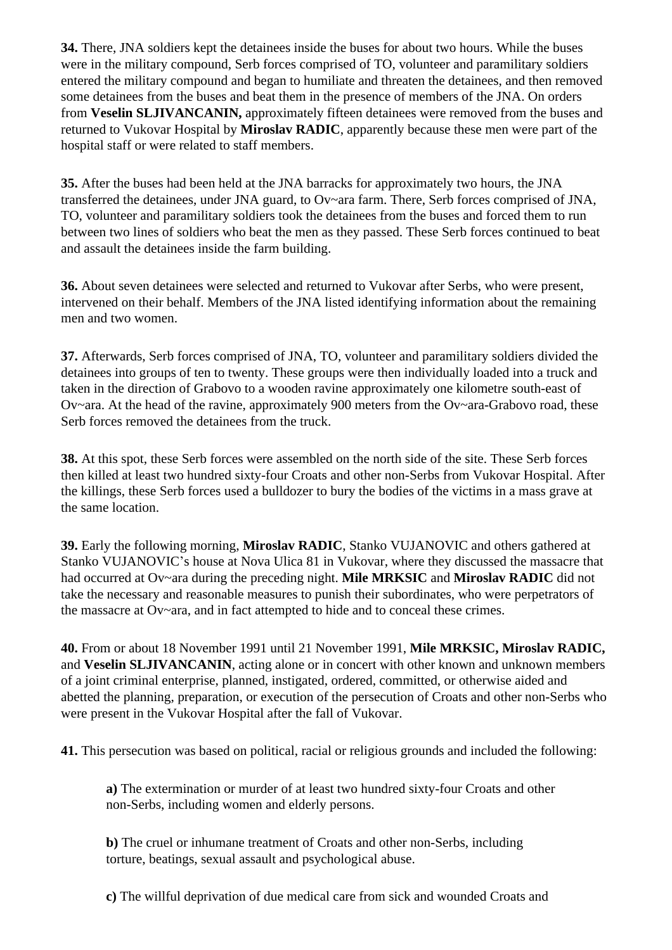**34.** There, JNA soldiers kept the detainees inside the buses for about two hours. While the buses were in the military compound, Serb forces comprised of TO, volunteer and paramilitary soldiers entered the military compound and began to humiliate and threaten the detainees, and then removed some detainees from the buses and beat them in the presence of members of the JNA. On orders from **Veselin SLJIVANCANIN,** approximately fifteen detainees were removed from the buses and returned to Vukovar Hospital by **Miroslav RADIC**, apparently because these men were part of the hospital staff or were related to staff members.

**35.** After the buses had been held at the JNA barracks for approximately two hours, the JNA transferred the detainees, under JNA guard, to Ov~ara farm. There, Serb forces comprised of JNA, TO, volunteer and paramilitary soldiers took the detainees from the buses and forced them to run between two lines of soldiers who beat the men as they passed. These Serb forces continued to beat and assault the detainees inside the farm building.

**36.** About seven detainees were selected and returned to Vukovar after Serbs, who were present, intervened on their behalf. Members of the JNA listed identifying information about the remaining men and two women.

**37.** Afterwards, Serb forces comprised of JNA, TO, volunteer and paramilitary soldiers divided the detainees into groups of ten to twenty. These groups were then individually loaded into a truck and taken in the direction of Grabovo to a wooden ravine approximately one kilometre south-east of Ov~ara. At the head of the ravine, approximately 900 meters from the Ov~ara-Grabovo road, these Serb forces removed the detainees from the truck.

**38.** At this spot, these Serb forces were assembled on the north side of the site. These Serb forces then killed at least two hundred sixty-four Croats and other non-Serbs from Vukovar Hospital. After the killings, these Serb forces used a bulldozer to bury the bodies of the victims in a mass grave at the same location.

**39.** Early the following morning, **Miroslav RADIC**, Stanko VUJANOVIC and others gathered at Stanko VUJANOVIC's house at Nova Ulica 81 in Vukovar, where they discussed the massacre that had occurred at Ov~ara during the preceding night. **Mile MRKSIC** and **Miroslav RADIC** did not take the necessary and reasonable measures to punish their subordinates, who were perpetrators of the massacre at Ov~ara, and in fact attempted to hide and to conceal these crimes.

**40.** From or about 18 November 1991 until 21 November 1991, **Mile MRKSIC, Miroslav RADIC,**  and **Veselin SLJIVANCANIN**, acting alone or in concert with other known and unknown members of a joint criminal enterprise, planned, instigated, ordered, committed, or otherwise aided and abetted the planning, preparation, or execution of the persecution of Croats and other non-Serbs who were present in the Vukovar Hospital after the fall of Vukovar.

**41.** This persecution was based on political, racial or religious grounds and included the following:

**a)** The extermination or murder of at least two hundred sixty-four Croats and other non-Serbs, including women and elderly persons.

**b)** The cruel or inhumane treatment of Croats and other non-Serbs, including torture, beatings, sexual assault and psychological abuse.

**c)** The willful deprivation of due medical care from sick and wounded Croats and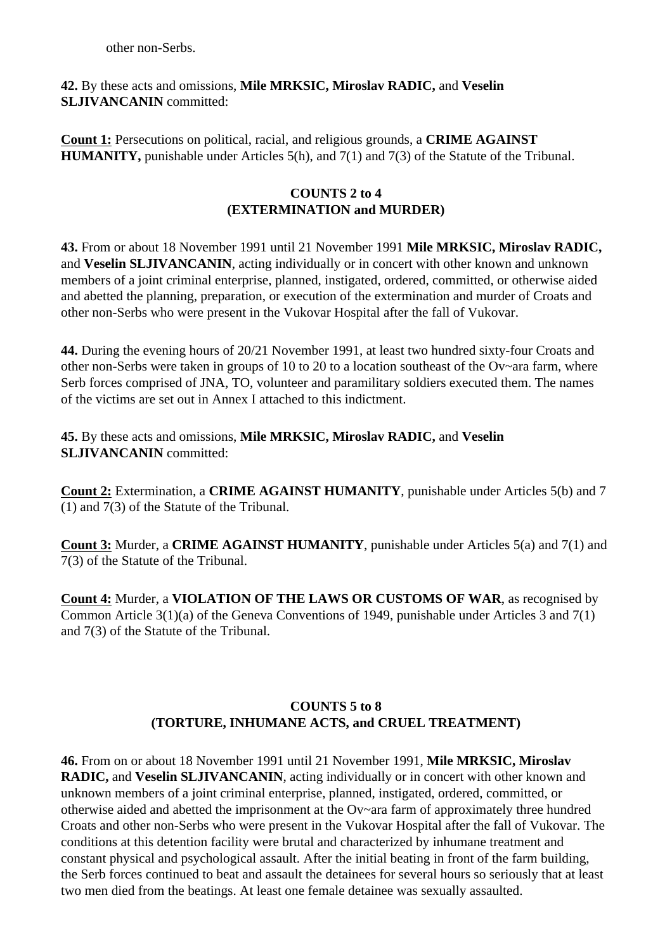other non-Serbs.

### **42.** By these acts and omissions, **Mile MRKSIC, Miroslav RADIC,** and **Veselin SLJIVANCANIN** committed:

**Count 1:** Persecutions on political, racial, and religious grounds, a **CRIME AGAINST HUMANITY,** punishable under Articles 5(h), and 7(1) and 7(3) of the Statute of the Tribunal.

### **COUNTS 2 to 4 (EXTERMINATION and MURDER)**

**43.** From or about 18 November 1991 until 21 November 1991 **Mile MRKSIC, Miroslav RADIC,**  and **Veselin SLJIVANCANIN**, acting individually or in concert with other known and unknown members of a joint criminal enterprise, planned, instigated, ordered, committed, or otherwise aided and abetted the planning, preparation, or execution of the extermination and murder of Croats and other non-Serbs who were present in the Vukovar Hospital after the fall of Vukovar.

**44.** During the evening hours of 20/21 November 1991, at least two hundred sixty-four Croats and other non-Serbs were taken in groups of 10 to 20 to a location southeast of the Ov~ara farm, where Serb forces comprised of JNA, TO, volunteer and paramilitary soldiers executed them. The names of the victims are set out in Annex I attached to this indictment.

**45.** By these acts and omissions, **Mile MRKSIC, Miroslav RADIC,** and **Veselin SLJIVANCANIN** committed:

**Count 2:** Extermination, a **CRIME AGAINST HUMANITY**, punishable under Articles 5(b) and 7 (1) and 7(3) of the Statute of the Tribunal.

**Count 3:** Murder, a **CRIME AGAINST HUMANITY**, punishable under Articles 5(a) and 7(1) and 7(3) of the Statute of the Tribunal.

**Count 4:** Murder, a **VIOLATION OF THE LAWS OR CUSTOMS OF WAR**, as recognised by Common Article 3(1)(a) of the Geneva Conventions of 1949, punishable under Articles 3 and 7(1) and 7(3) of the Statute of the Tribunal.

# **COUNTS 5 to 8 (TORTURE, INHUMANE ACTS, and CRUEL TREATMENT)**

**46.** From on or about 18 November 1991 until 21 November 1991, **Mile MRKSIC, Miroslav RADIC,** and **Veselin SLJIVANCANIN**, acting individually or in concert with other known and unknown members of a joint criminal enterprise, planned, instigated, ordered, committed, or otherwise aided and abetted the imprisonment at the Ov~ara farm of approximately three hundred Croats and other non-Serbs who were present in the Vukovar Hospital after the fall of Vukovar. The conditions at this detention facility were brutal and characterized by inhumane treatment and constant physical and psychological assault. After the initial beating in front of the farm building, the Serb forces continued to beat and assault the detainees for several hours so seriously that at least two men died from the beatings. At least one female detainee was sexually assaulted.